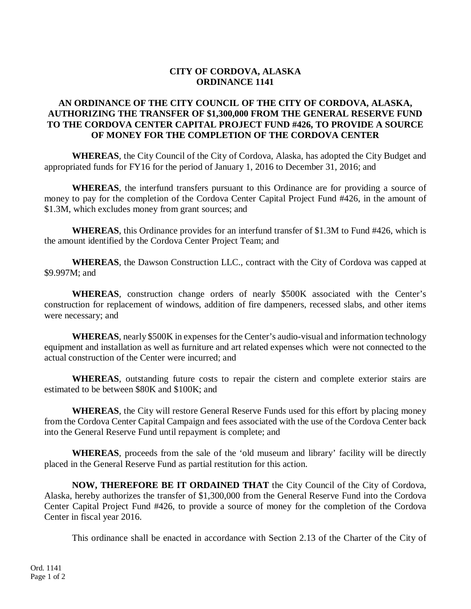## **CITY OF CORDOVA, ALASKA ORDINANCE 1141**

## **AN ORDINANCE OF THE CITY COUNCIL OF THE CITY OF CORDOVA, ALASKA, AUTHORIZING THE TRANSFER OF \$1,300,000 FROM THE GENERAL RESERVE FUND TO THE CORDOVA CENTER CAPITAL PROJECT FUND #426, TO PROVIDE A SOURCE OF MONEY FOR THE COMPLETION OF THE CORDOVA CENTER**

**WHEREAS**, the City Council of the City of Cordova, Alaska, has adopted the City Budget and appropriated funds for FY16 for the period of January 1, 2016 to December 31, 2016; and

**WHEREAS**, the interfund transfers pursuant to this Ordinance are for providing a source of money to pay for the completion of the Cordova Center Capital Project Fund #426, in the amount of \$1.3M, which excludes money from grant sources; and

**WHEREAS**, this Ordinance provides for an interfund transfer of \$1.3M to Fund #426, which is the amount identified by the Cordova Center Project Team; and

**WHEREAS**, the Dawson Construction LLC., contract with the City of Cordova was capped at \$9.997M; and

**WHEREAS**, construction change orders of nearly \$500K associated with the Center's construction for replacement of windows, addition of fire dampeners, recessed slabs, and other items were necessary; and

**WHEREAS**, nearly \$500K in expenses for the Center's audio-visual and information technology equipment and installation as well as furniture and art related expenses which were not connected to the actual construction of the Center were incurred; and

**WHEREAS**, outstanding future costs to repair the cistern and complete exterior stairs are estimated to be between \$80K and \$100K; and

**WHEREAS**, the City will restore General Reserve Funds used for this effort by placing money from the Cordova Center Capital Campaign and fees associated with the use of the Cordova Center back into the General Reserve Fund until repayment is complete; and

**WHEREAS**, proceeds from the sale of the 'old museum and library' facility will be directly placed in the General Reserve Fund as partial restitution for this action.

**NOW, THEREFORE BE IT ORDAINED THAT** the City Council of the City of Cordova, Alaska, hereby authorizes the transfer of \$1,300,000 from the General Reserve Fund into the Cordova Center Capital Project Fund #426, to provide a source of money for the completion of the Cordova Center in fiscal year 2016.

This ordinance shall be enacted in accordance with Section 2.13 of the Charter of the City of